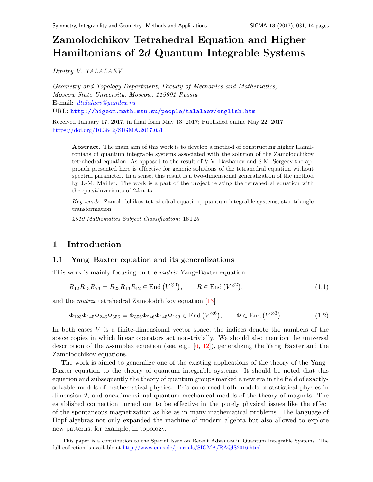# Zamolodchikov Tetrahedral Equation and Higher Hamiltonians of 2d Quantum Integrable System[s](#page-0-0)

Dmitry V. TALALAEV

Geometry and Topology Department, Faculty of Mechanics and Mathematics, Moscow State University, Moscow, 119991 Russia E-mail: [dtalalaev@yandex.ru](mailto:dtalalaev@yandex.ru) URL: <http://higeom.math.msu.su/people/talalaev/english.htm>

Received January 17, 2017, in final form May 13, 2017; Published online May 22, 2017 <https://doi.org/10.3842/SIGMA.2017.031>

Abstract. The main aim of this work is to develop a method of constructing higher Hamiltonians of quantum integrable systems associated with the solution of the Zamolodchikov tetrahedral equation. As opposed to the result of V.V. Bazhanov and S.M. Sergeev the approach presented here is ef fective for generic solutions of the tetrahedral equation without spectral parameter. In a sense, this result is a two-dimensional generalization of the method by J.-M. Maillet. The work is a part of the project relating the tetrahedral equation with the quasi-invariants of 2-knots.

Key words: Zamolodchikov tetrahedral equation; quantum integrable systems; star-triangle transformation

2010 Mathematics Subject Classification: 16T25

# 1 Introduction

## 1.1 Yang–Baxter equation and its generalizations

This work is mainly focusing on the matrix Yang–Baxter equation

<span id="page-0-1"></span>
$$
R_{12}R_{13}R_{23} = R_{23}R_{13}R_{12} \in \text{End}(V^{\otimes 3}), \qquad R \in \text{End}(V^{\otimes 2}), \tag{1.1}
$$

and the matrix tetrahedral Zamolodchikov equation [\[13\]](#page-13-0)

<span id="page-0-2"></span>
$$
\Phi_{123}\Phi_{145}\Phi_{246}\Phi_{356} = \Phi_{356}\Phi_{246}\Phi_{145}\Phi_{123} \in \text{End}\left(V^{\otimes 6}\right), \qquad \Phi \in \text{End}\left(V^{\otimes 3}\right). \tag{1.2}
$$

In both cases  $V$  is a finite-dimensional vector space, the indices denote the numbers of the space copies in which linear operators act non-trivially. We should also mention the universal description of the *n*-simplex equation (see, e.g.,  $[6, 12]$  $[6, 12]$  $[6, 12]$ ), generalizing the Yang–Baxter and the Zamolodchikov equations.

The work is aimed to generalize one of the existing applications of the theory of the Yang– Baxter equation to the theory of quantum integrable systems. It should be noted that this equation and subsequently the theory of quantum groups marked a new era in the field of exactlysolvable models of mathematical physics. This concerned both models of statistical physics in dimension 2, and one-dimensional quantum mechanical models of the theory of magnets. The established connection turned out to be effective in the purely physical issues like the effect of the spontaneous magnetization as like as in many mathematical problems. The language of Hopf algebras not only expanded the machine of modern algebra but also allowed to explore new patterns, for example, in topology.

<span id="page-0-0"></span>This paper is a contribution to the Special Issue on Recent Advances in Quantum Integrable Systems. The full collection is available at <http://www.emis.de/journals/SIGMA/RAQIS2016.html>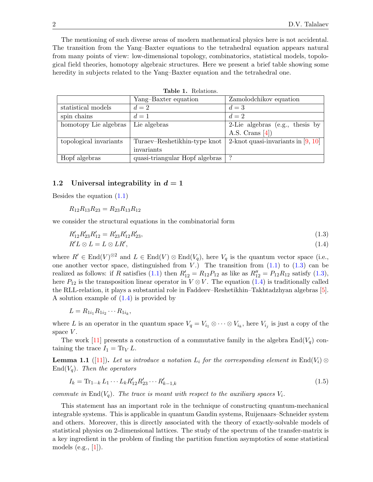The mentioning of such diverse areas of modern mathematical physics here is not accidental. The transition from the Yang–Baxter equations to the tetrahedral equation appears natural from many points of view: low-dimensional topology, combinatorics, statistical models, topological field theories, homotopy algebraic structures. Here we present a brief table showing some heredity in subjects related to the Yang–Baxter equation and the tetrahedral one.

|                        | Yang-Baxter equation           | Zamolodchikov equation               |
|------------------------|--------------------------------|--------------------------------------|
| statistical models     | $d=2$                          | $d=3$                                |
| spin chains            | $d=1$                          | $d=2$                                |
| homotopy Lie algebras  | Lie algebras                   | 2-Lie algebras (e.g., thesis by      |
|                        |                                | A.S. Crans $[4]$ )                   |
| topological invariants | Turaev–Reshetikhin-type knot   | 2-knot quasi-invariants in $[9, 10]$ |
|                        | invariants                     |                                      |
| Hopf algebras          | quasi-triangular Hopf algebras |                                      |

<span id="page-1-1"></span><span id="page-1-0"></span>Table 1. Relations.

## 1.2 Universal integrability in  $d = 1$

Besides the equation [\(1.1\)](#page-0-1)

 $R_{12}R_{13}R_{23} = R_{23}R_{13}R_{12}$ 

we consider the structural equations in the combinatorial form

$$
R'_{12}R'_{23}R'_{12} = R'_{23}R'_{12}R'_{23},
$$
  
\n
$$
R'L \otimes L = L \otimes LR',
$$
\n(1.3)

$$
R'L \otimes L = L \otimes LR',\tag{1.4}
$$

where  $R' \in \text{End}(V)^{\otimes 2}$  and  $L \in \text{End}(V) \otimes \text{End}(V_q)$ , here  $V_q$  is the quantum vector space (i.e., one another vector space, distinguished from  $V$ .) The transition from  $(1.1)$  to  $(1.3)$  can be realized as follows: if R satisfies [\(1.1\)](#page-0-1) then  $R'_{12} = R_{12}P_{12}$  as like as  $R''_{12} = P_{12}R_{12}$  satisfy [\(1.3\)](#page-1-0), here  $P_{12}$  is the transposition linear operator in  $V \otimes V$ . The equation [\(1.4\)](#page-1-1) is traditionally called the RLL-relation, it plays a substantial role in Faddeev–Reshetikhin–Takhtadzhyan algebras [\[5\]](#page-13-6). A solution example of [\(1.4\)](#page-1-1) is provided by

$$
L=R_{1i_1}R_{1i_2}\cdots R_{1i_k},
$$

where L is an operator in the quantum space  $V_q = V_{i_1} \otimes \cdots \otimes V_{i_k}$ , here  $V_{i_j}$  is just a copy of the space  $V$ .

The work [\[11\]](#page-13-7) presents a construction of a commutative family in the algebra  $\text{End}(V_q)$  containing the trace  $I_1 = \text{Tr}_V L$ .

<span id="page-1-2"></span>**Lemma 1.1** ([\[11\]](#page-13-7)). Let us introduce a notation  $L_i$  for the corresponding element in End( $V_i$ )  $\otimes$  $\text{End}(V_a)$ . Then the operators

<span id="page-1-3"></span>
$$
I_k = \text{Tr}_{1\cdots k} L_1 \cdots L_k R'_{12} R'_{23} \cdots R'_{k-1,k} \tag{1.5}
$$

commute in End( $V_q$ ). The trace is meant with respect to the auxiliary spaces  $V_i$ .

This statement has an important role in the technique of constructing quantum-mechanical integrable systems. This is applicable in quantum Gaudin systems, Ruijenaars–Schneider system and others. Moreover, this is directly associated with the theory of exactly-solvable models of statistical physics on 2-dimensional lattices. The study of the spectrum of the transfer-matrix is a key ingredient in the problem of finding the partition function asymptotics of some statistical models (e.g.,  $[1]$ ).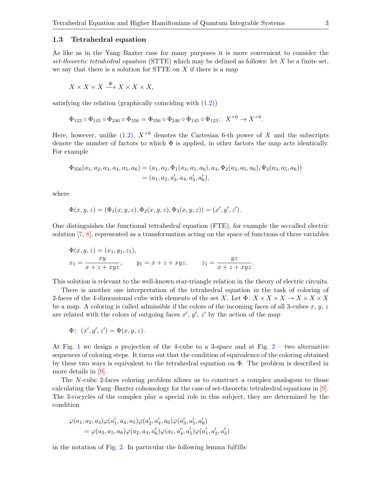#### 1.3 Tetrahedral equation

As like as in the Yang–Baxter case for many purposes it is more convenient to consider the set-theoretic tetrahedral equation (STTE) which may be defined as follows: let  $X$  be a finite set, we say that there is a solution for STTE on  $X$  if there is a map

$$
X \times X \times X \stackrel{\Phi}{\longrightarrow} X \times X \times X,
$$

satisfying the relation (graphically coinciding with [\(1.2\)](#page-0-2))

$$
\Phi_{123} \circ \Phi_{145} \circ \Phi_{246} \circ \Phi_{356} = \Phi_{356} \circ \Phi_{246} \circ \Phi_{145} \circ \Phi_{123} : X^{\times 6} \to X^{\times 6}.
$$

Here, however, unlike  $(1.2)$ ,  $X^{\times 6}$  denotes the Cartesian 6-th power of X and the subscripts denote the number of factors to which  $\Phi$  is applied, in other factors the map acts identically. For example

$$
\Phi_{356}(a_1, a_2, a_3, a_4, a_5, a_6) = (a_1, a_2, \Phi_1(a_3, a_5, a_6), a_4, \Phi_2(a_3, a_5, a_6), \Phi_3(a_3, a_5, a_6)) = (a_1, a_2, a'_3, a_4, a'_5, a'_6),
$$

where

$$
\Phi(x, y, z) = (\Phi_1(x, y, z), \Phi_2(x, y, z), \Phi_3(x, y, z)) = (x', y', z').
$$

One distinguishes the functional tetrahedral equation (FTE), for example the so-called electric solution [\[7,](#page-13-9) [8\]](#page-13-10), represented as a transformation acting on the space of functions of three variables

$$
\Phi(x, y, z) = (x_1, y_1, z_1), \n x_1 = \frac{xy}{x + z + xyz}, \qquad y_1 = x + z + xyz, \qquad z_1 = \frac{yz}{x + z + xyz}.
$$

This solution is relevant to the well-known star-triangle relation in the theory of electric circuits.

There is another one interpretation of the tetrahedral equation in the task of coloring of 2-faces of the 4-dimensional cube with elements of the set X. Let  $\Phi: X \times X \times X \to X \times X \times X$ be a map. A coloring is called admissible if the colors of the incoming faces of all 3-cubes x,  $y, z$ are related with the colors of outgoing faces  $x', y', z'$  by the action of the map

$$
\Phi: (x', y', z') = \Phi(x, y, z).
$$

At Fig. [1](#page-3-0) we design a projection of the 4-cube to a 3-space and at Fig. [2](#page-3-1) – two alternative sequences of coloring steps. It turns out that the condition of equivalence of the coloring obtained by these two ways is equivalent to the tetrahedral equation on Φ. The problem is described in more details in [\[9\]](#page-13-4).

The N-cube 2-faces coloring problem allows us to construct a complex analogous to those calculating the Yang–Baxter cohomology for the case of set-theoretic tetrahedral equations in [\[9\]](#page-13-4). The 3-cocycles of the complex play a special role in this subject, they are determined by the condition

$$
\varphi(a_1, a_2, a_3)\varphi(a'_1, a_4, a_5)\varphi(a'_2, a'_4, a_6)\varphi(a'_3, a'_5, a'_6)
$$
  
=  $\varphi(a_3, a_5, a_6)\varphi(a_2, a_4, a'_6)\varphi(a_1, a'_4, a'_5)\varphi(a'_1, a'_2, a'_3)$ 

in the notation of Fig. [2.](#page-3-1) In particular the following lemma fulfills: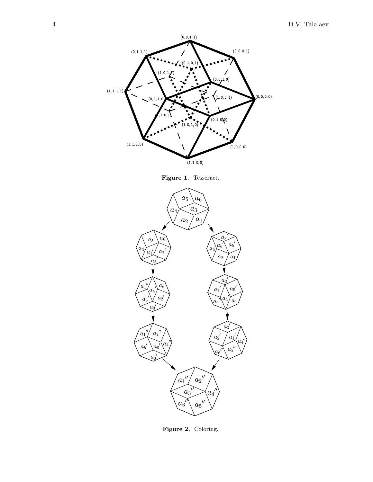

<span id="page-3-0"></span>Figure 1. Tesseract.



<span id="page-3-1"></span>Figure 2. Coloring.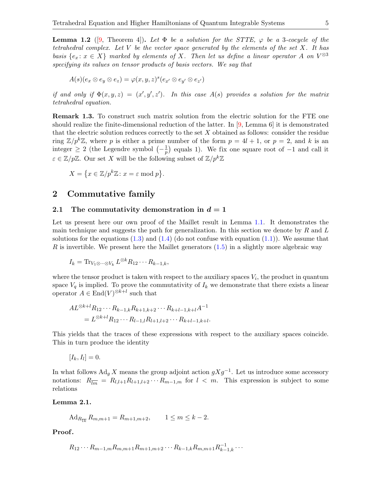<span id="page-4-1"></span>**Lemma 1.2** ([\[9,](#page-13-4) Theorem 4]). Let  $\Phi$  be a solution for the STTE,  $\varphi$  be a 3-cocycle of the tetrahedral complex. Let  $V$  be the vector space generated by the elements of the set  $X$ . It has basis  $\{e_x : x \in X\}$  marked by elements of X. Then let us define a linear operator A on  $V^{\otimes 3}$ specifying its values on tensor products of basis vectors. We say that

$$
A(s)(e_x \otimes e_y \otimes e_z) = \varphi(x, y, z)^s(e_{x'} \otimes e_{y'} \otimes e_{z'})
$$

if and only if  $\Phi(x, y, z) = (x', y', z')$ . In this case  $A(s)$  provides a solution for the matrix tetrahedral equation.

Remark 1.3. To construct such matrix solution from the electric solution for the FTE one should realize the finite-dimensional reduction of the latter. In [\[9,](#page-13-4) Lemma 6] it is demonstrated that the electric solution reduces correctly to the set  $X$  obtained as follows: consider the residue ring  $\mathbb{Z}/p^k\mathbb{Z}$ , where p is either a prime number of the form  $p = 4l + 1$ , or  $p = 2$ , and k is an integer  $\geq 2$  (the Legendre symbol  $\left(-\frac{1}{n}\right)$  $\frac{1}{p}$  equals 1). We fix one square root of  $-1$  and call it  $\varepsilon \in \mathbb{Z}/p\mathbb{Z}$ . Our set X will be the following subset of  $\mathbb{Z}/p^k\mathbb{Z}$ 

$$
X = \{ x \in \mathbb{Z}/p^k \mathbb{Z} : x = \varepsilon \bmod p \}.
$$

# 2 Commutative family

## 2.1 The commutativity demonstration in  $d = 1$

Let us present here our own proof of the Maillet result in Lemma [1.1.](#page-1-2) It demonstrates the main technique and suggests the path for generalization. In this section we denote by  $R$  and  $L$ solutions for the equations  $(1.3)$  and  $(1.4)$  (do not confuse with equation  $(1.1)$ ). We assume that  $R$  is invertible. We present here the Maillet generators  $(1.5)$  in a slightly more algebraic way

$$
I_k = \text{Tr}_{V_1 \otimes \cdots \otimes V_k} L^{\otimes k} R_{12} \cdots R_{k-1,k},
$$

where the tensor product is taken with respect to the auxiliary spaces  $V_i$ , the product in quantum space  $V_q$  is implied. To prove the commutativity of  $I_k$  we demonstrate that there exists a linear operator  $A \in \text{End}(V)^{\otimes k+l}$  such that

$$
AL^{\otimes k+l}R_{12}\cdots R_{k-1,k}R_{k+1,k+2}\cdots R_{k+l-1,k+l}A^{-1}
$$
  
=  $L^{\otimes k+l}R_{12}\cdots R_{l-1,l}R_{l+1,l+2}\cdots R_{k+l-1,k+l}.$ 

This yields that the traces of these expressions with respect to the auxiliary spaces coincide. This in turn produce the identity

 $[I_k, I_l] = 0.$ 

In what follows  $\text{Ad}_g X$  means the group adjoint action  $gXg^{-1}$ . Let us introduce some accessory notations:  $R_{\overline{lm}} = R_{l,l+1}R_{l+1,l+2}\cdots R_{m-1,m}$  for  $l < m$ . This expression is subject to some relations

<span id="page-4-0"></span>Lemma 2.1.

$$
Ad_{R_{\overline{1k}}} R_{m,m+1} = R_{m+1,m+2}, \qquad 1 \le m \le k-2.
$$

Proof.

$$
R_{12}\cdots R_{m-1,m}R_{m,m+1}R_{m+1,m+2}\cdots R_{k-1,k}R_{m,m+1}R_{k-1,k}^{-1}\cdots
$$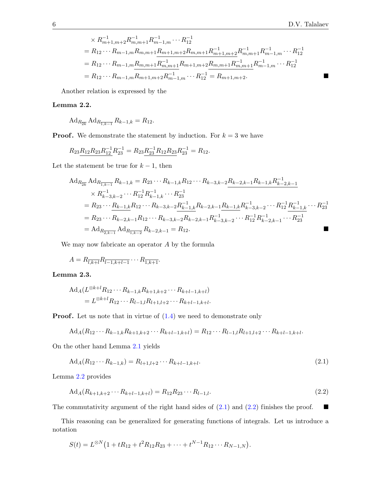$$
\times R_{m+1,m+2}^{-1} R_{m,m+1}^{-1} R_{m-1,m}^{-1} \cdots R_{12}^{-1}
$$
  
=  $R_{12} \cdots R_{m-1,m} R_{m,m+1} R_{m+1,m+2} R_{m,m+1} R_{m+1,m+2}^{-1} R_{m,m+1}^{-1} R_{m-1,m}^{-1} \cdots R_{12}^{-1}$   
=  $R_{12} \cdots R_{m-1,m} R_{m,m+1} R_{m,m+1}^{-1} R_{m+1,m+2} R_{m,m+1} R_{m,m+1}^{-1} R_{m-1,m}^{-1} \cdots R_{12}^{-1}$   
=  $R_{12} \cdots R_{m-1,m} R_{m+1,m+2} R_{m-1,m}^{-1} \cdots R_{12}^{-1} = R_{m+1,m+2}.$ 

Another relation is expressed by the

# <span id="page-5-0"></span>Lemma 2.2.

$$
\mathrm{Ad}_{R_{2k}} \mathrm{Ad}_{R_{\overline{1,k-1}}} R_{k-1,k} = R_{12}.
$$

**Proof.** We demonstrate the statement by induction. For  $k = 3$  we have

$$
R_{23}R_{12}R_{23}R_{12}^{-1}R_{23}^{-1} = R_{23}R_{23}^{-1}R_{12}R_{23}R_{23}^{-1} = R_{12}.
$$

Let the statement be true for  $k-1$ , then

$$
Ad_{R_{2k}} Ad_{R_{\overline{1,k-1}}} R_{k-1,k} = R_{23} \cdots R_{k-1,k} R_{12} \cdots R_{k-3,k-2} R_{k-2,k-1} R_{k-1,k} R_{k-2,k-1}^{-1}
$$
  
\n
$$
\times R_{k-3,k-2}^{-1} \cdots R_{12}^{-1} R_{k-1,k}^{-1} \cdots R_{23}^{-1}
$$
  
\n
$$
= R_{23} \cdots R_{k-1,k} R_{12} \cdots R_{k-3,k-2} R_{k-1,k}^{-1} R_{k-2,k-1} R_{k-1,k} R_{k-3,k-2}^{-1} \cdots R_{12}^{-1} R_{k-1,k}^{-1} \cdots R_{23}^{-1}
$$
  
\n
$$
= R_{23} \cdots R_{k-2,k-1} R_{12} \cdots R_{k-3,k-2} R_{k-2,k-1} R_{k-3,k-2}^{-1} \cdots R_{12}^{-1} R_{k-2,k-1}^{-1} \cdots R_{23}^{-1}
$$
  
\n
$$
= A d_{R_{\overline{2,k-1}}} A d_{R_{\overline{1,k-2}}} R_{k-2,k-1} = R_{12}.
$$

We may now fabricate an operator A by the formula

$$
A = R_{\overline{l,k+l}} R_{\overline{l-1,k+l-1}} \cdots R_{\overline{1,k+1}}.
$$

# Lemma 2.3.

$$
Ad_A(L^{\otimes k+l}R_{12}\cdots R_{k-1,k}R_{k+1,k+2}\cdots R_{k+l-1,k+l})
$$
  
=  $L^{\otimes k+l}R_{12}\cdots R_{l-1,l}R_{l+1,l+2}\cdots R_{k+l-1,k+l}.$ 

**Proof.** Let us note that in virtue of  $(1.4)$  we need to demonstrate only

<span id="page-5-1"></span>
$$
Ad_A(R_{12}\cdots R_{k-1,k}R_{k+1,k+2}\cdots R_{k+l-1,k+l}) = R_{12}\cdots R_{l-1,l}R_{l+1,l+2}\cdots R_{k+l-1,k+l}.
$$

On the other hand Lemma [2.1](#page-4-0) yields

$$
Ad_A(R_{12}\cdots R_{k-1,k}) = R_{l+1,l+2}\cdots R_{k+l-1,k+l}.
$$
\n(2.1)

Lemma [2.2](#page-5-0) provides

<span id="page-5-2"></span>
$$
Ad_A(R_{k+1,k+2}\cdots R_{k+l-1,k+l}) = R_{12}R_{23}\cdots R_{l-1,l}.
$$
\n(2.2)

The commutativity argument of the right hand sides of  $(2.1)$  and  $(2.2)$  finishes the proof.  $\blacksquare$ 

This reasoning can be generalized for generating functions of integrals. Let us introduce a notation

$$
S(t) = L^{\otimes N} (1 + tR_{12} + t^2 R_{12} R_{23} + \cdots + t^{N-1} R_{12} \cdots R_{N-1,N}).
$$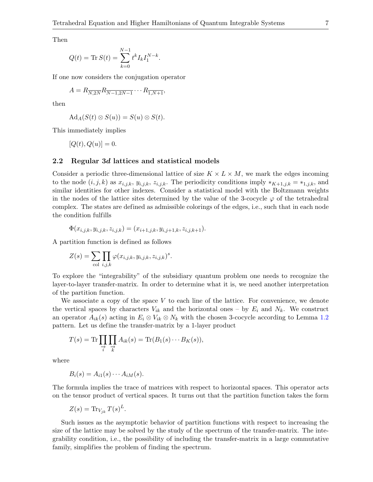Then

$$
Q(t) = \text{Tr}\,S(t) = \sum_{k=0}^{N-1} t^k I_k I_1^{N-k}.
$$

If one now considers the conjugation operator

$$
A = R_{\overline{N, 2N}} R_{\overline{N-1, 2N-1}} \cdots R_{\overline{1, N+1}},
$$

then

$$
Ad_A(S(t)\otimes S(u))=S(u)\otimes S(t).
$$

This immediately implies

 $[Q(t), Q(u)] = 0.$ 

## 2.2 Regular 3d lattices and statistical models

Consider a periodic three-dimensional lattice of size  $K \times L \times M$ , we mark the edges incoming to the node  $(i, j, k)$  as  $x_{i,j,k}, y_{i,j,k}, z_{i,j,k}$ . The periodicity conditions imply  $*_{{K+1},j,k} = *_{1,j,k}$ , and similar identities for other indexes. Consider a statistical model with the Boltzmann weights in the nodes of the lattice sites determined by the value of the 3-cocycle  $\varphi$  of the tetrahedral complex. The states are defined as admissible colorings of the edges, i.e., such that in each node the condition fulfills

$$
\Phi(x_{i,j,k}, y_{i,j,k}, z_{i,j,k}) = (x_{i+1,j,k}, y_{i,j+1,k}, z_{i,j,k+1}).
$$

A partition function is defined as follows

$$
Z(s) = \sum_{\text{col }i,j,k} \prod_{j,k} \varphi(x_{i,j,k}, y_{i,j,k}, z_{i,j,k})^s.
$$

To explore the "integrability" of the subsidiary quantum problem one needs to recognize the layer-to-layer transfer-matrix. In order to determine what it is, we need another interpretation of the partition function.

We associate a copy of the space V to each line of the lattice. For convenience, we denote the vertical spaces by characters  $V_{ik}$  and the horizontal ones – by  $E_i$  and  $N_k$ . We construct an operator  $A_{ik}(s)$  acting in  $E_i \otimes V_{ik} \otimes N_k$  with the chosen 3-cocycle according to Lemma [1.2](#page-4-1) pattern. Let us define the transfer-matrix by a 1-layer product

$$
T(s) = \text{Tr} \prod_{\substack{\rightarrow \\ i}} \prod_{\substack{k \\ k}} A_{ik}(s) = \text{Tr}(B_1(s) \cdots B_K(s)),
$$

where

$$
B_i(s) = A_{i1}(s) \cdots A_{iM}(s).
$$

The formula implies the trace of matrices with respect to horizontal spaces. This operator acts on the tensor product of vertical spaces. It turns out that the partition function takes the form

$$
Z(s) = \text{Tr}_{V_{jk}} T(s)^L.
$$

Such issues as the asymptotic behavior of partition functions with respect to increasing the size of the lattice may be solved by the study of the spectrum of the transfer-matrix. The integrability condition, i.e., the possibility of including the transfer-matrix in a large commutative family, simplifies the problem of finding the spectrum.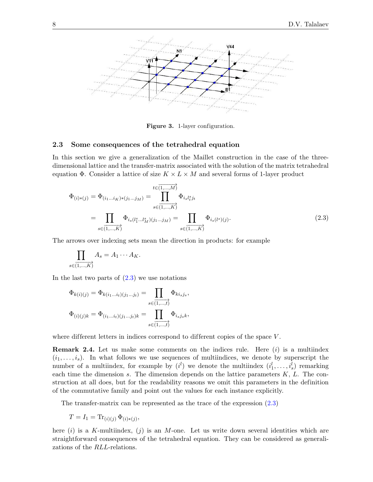

<span id="page-7-0"></span>Figure 3. 1-layer configuration.

#### 2.3 Some consequences of the tetrahedral equation

In this section we give a generalization of the Maillet construction in the case of the threedimensional lattice and the transfer-matrix associated with the solution of the matrix tetrahedral equation  $\Phi$ . Consider a lattice of size  $K \times L \times M$  and several forms of 1-layer product

$$
\Phi_{(i)*(j)} = \Phi_{(i_1...i_K)*(j_1...j_M)} = \prod_{s \in (1,...,K)}^{t \in (1,...,M)} \Phi_{i_s l_t^s j_t}
$$
\n
$$
= \prod_{s \in (1,...,K)} \Phi_{i_s(l_1^s...l_M^s)(j_1...j_M)} = \prod_{s \in (1,...,K)} \Phi_{i_s(l^s)(j)}.
$$
\n(2.3)

The arrows over indexing sets mean the direction in products: for example

$$
\prod_{s \in (1,\ldots,K)} A_s = A_1 \cdots A_K.
$$

In the last two parts of  $(2.3)$  we use notations

$$
\Phi_{k(i)(j)} = \Phi_{k(i_1...i_t)(j_1...j_t)} = \prod_{s \in (1,...,t)} \Phi_{k i_s j_s},
$$
  

$$
\Phi_{(i)(j)k} = \Phi_{(i_1...i_t)(j_1...j_t)k} = \prod_{s \in (1,...,t)} \Phi_{i_s j_s k},
$$

where different letters in indices correspond to different copies of the space  $V$ .

**Remark 2.4.** Let us make some comments on the indices rule. Here  $(i)$  is a multiindex  $(i_1, \ldots, i_s)$ . In what follows we use sequences of multiindices, we denote by superscript the number of a multiindex, for example by  $(i^l)$  we denote the multiindex  $(i^l_1, \ldots, i^l_s)$  remarking each time the dimension s. The dimension depends on the lattice parameters  $K, L$ . The construction at all does, but for the readability reasons we omit this parameters in the definition of the commutative family and point out the values for each instance explicitly.

The transfer-matrix can be represented as the trace of the expression [\(2.3\)](#page-7-0)

$$
T = I_1 = \text{Tr}_{(i)(j)} \, \Phi_{(i)*(j)},
$$

here  $(i)$  is a K-multiindex,  $(j)$  is an M-one. Let us write down several identities which are straightforward consequences of the tetrahedral equation. They can be considered as generalizations of the RLL-relations.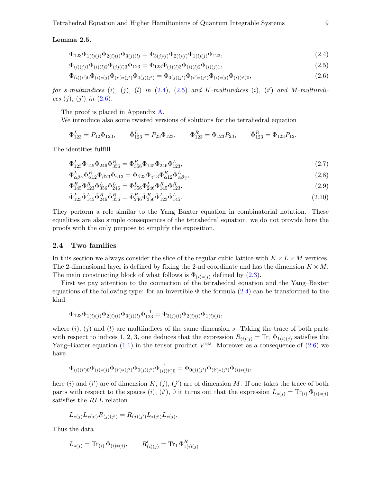#### <span id="page-8-5"></span>Lemma 2.5.

<span id="page-8-1"></span><span id="page-8-0"></span>
$$
\Phi_{123}\Phi_{1(i)(j)}\Phi_{2(i)(l)}\Phi_{3(j)(l)} = \Phi_{3(j)(l)}\Phi_{2(i)(l)}\Phi_{1(i)(j)}\Phi_{123},\tag{2.4}
$$

$$
\Phi_{(i)(j)1}\Phi_{(i)(l)2}\Phi_{(j)(l)3}\Phi_{123} = \Phi_{123}\Phi_{(j)(l)3}\Phi_{(i)(l)2}\Phi_{(i)(j)1},\tag{2.5}
$$

<span id="page-8-2"></span>
$$
\Phi_{(i)(i')0}\Phi_{(i)*(j)}\Phi_{(i')*(j')}\Phi_{0(j)(j')} = \Phi_{0(j)(j')}\Phi_{(i')*(j')}\Phi_{(i)*(j)}\Phi_{(i)(i')0},\tag{2.6}
$$

for s-multiindices  $(i)$ ,  $(j)$ ,  $(l)$  in  $(2.4)$ ,  $(2.5)$  and K-multiindices  $(i)$ ,  $(i')$  and M-multiindices  $(j)$ ,  $(j')$  in  $(2.6)$ .

The proof is placed in Appendix [A.](#page-12-0)

We introduce also some twisted versions of solutions for the tetrahedral equation

$$
\Phi_{123}^L = P_{12}\Phi_{123}, \qquad \tilde{\Phi}_{123}^L = P_{23}\Phi_{123}, \qquad \Phi_{123}^R = \Phi_{123}P_{23}, \qquad \tilde{\Phi}_{123}^R = \Phi_{123}P_{12}.
$$

The identities fulfill

<span id="page-8-3"></span>
$$
\Phi_{123}^L \Phi_{145} \Phi_{246} \Phi_{356}^R = \Phi_{356}^R \Phi_{145} \Phi_{246} \Phi_{123}^L,\tag{2.7}
$$

<span id="page-8-4"></span>
$$
\tilde{\Phi}^{L}_{\alpha\beta\gamma}\Phi^{R}_{\alpha12}\Phi_{\beta23}\Phi_{\gamma13} = \Phi_{\beta23}\Phi_{\gamma13}\Phi^{R}_{\alpha12}\tilde{\Phi}^{L}_{\alpha\beta\gamma},\tag{2.8}
$$

$$
\Phi_{145}^R \Phi_{123}^R \Phi_{236}^L \Phi_{246}^L = \Phi_{356}^L \Phi_{246}^R \Phi_{145}^R \Phi_{123}^R,\tag{2.9}
$$

$$
\tilde{\Phi}_{123}^{L}\tilde{\Phi}_{145}^{L}\tilde{\Phi}_{246}^{R}\tilde{\Phi}_{356}^{R} = \tilde{\Phi}_{246}^{R}\tilde{\Phi}_{356}^{R}\tilde{\Phi}_{123}^{L}\tilde{\Phi}_{145}^{L}.
$$
\n(2.10)

They perform a role similar to the Yang–Baxter equation in combinatorial notation. These equalities are also simple consequences of the tetrahedral equation, we do not provide here the proofs with the only purpose to simplify the exposition.

#### 2.4 Two families

In this section we always consider the slice of the regular cubic lattice with  $K \times L \times M$  vertices. The 2-dimensional layer is defined by fixing the 2-nd coordinate and has the dimension  $K \times M$ . The main constructing block of what follows is  $\Phi_{(i)*(i)}$  defined by [\(2.3\)](#page-7-0).

First we pay attention to the connection of the tetrahedral equation and the Yang–Baxter equations of the following type: for an invertible  $\Phi$  the formula [\(2.4\)](#page-8-0) can be transformed to the kind

$$
\Phi_{123}\Phi_{1(i)(j)}\Phi_{2(i)(l)}\Phi_{3(j)(l)}\Phi_{123}^{-1} = \Phi_{3(j)(l)}\Phi_{2(i)(l)}\Phi_{1(i)(j)},
$$

where  $(i)$ ,  $(j)$  and  $(l)$  are multiindices of the same dimension s. Taking the trace of both parts with respect to indices 1, 2, 3, one deduces that the expression  $R_{(i)(j)} = \text{Tr}_1 \Phi_{1(i)(j)}$  satisfies the Yang–Baxter equation [\(1.1\)](#page-0-1) in the tensor product  $V^{\otimes s}$ . Moreover as a consequence of [\(2.6\)](#page-8-2) we have

$$
\Phi_{(i)(i')0}\Phi_{(i)*(j)}\Phi_{(i')*(j')}\Phi_{0(j)(j')}\Phi_{(i)(i')0}^{-1} = \Phi_{0(j)(j')}\Phi_{(i')*(j')}\Phi_{(i)*(j)},
$$

here (i) and (i') are of dimension K,  $(j)$ ,  $(j')$  are of dimension M. If one takes the trace of both parts with respect to the spaces (i), (i'), 0 it turns out that the expression  $L_{*(j)} = \text{Tr}_{(i)} \Phi_{(i)*(j)}$ satisfies the RLL relation

$$
L_{*(j)}L_{*(j')}R_{(j)(j')} = R_{(j)(j')}L_{*(j')}L_{*(j)}.
$$

Thus the data

$$
L_{*(j)} = \text{Tr}_{(i)} \, \Phi_{(i)*(j)}, \qquad R'_{(i)(j)} = \text{Tr}_1 \, \Phi_{1(i)(j)}^R
$$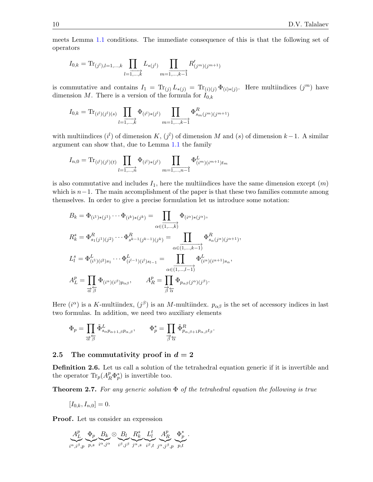meets Lemma [1.1](#page-1-2) conditions. The immediate consequence of this is that the following set of operators

$$
I_{0,k} = \text{Tr}_{(j^l),l=1,\dots,k} \prod_{l=\overline{1,\dots,k}} L_{*(j^l)} \prod_{m=\overline{1,\dots,k-1}} R'_{(j^m)(j^{m+1})}
$$

is commutative and contains  $I_1 = \text{Tr}_{(j)} L_{*(j)} = \text{Tr}_{(i)(j)} \Phi_{(i)*(j)}$ . Here multiindices  $(j^m)$  have dimension M. There is a version of the formula for  $I_{0,k}$ 

$$
I_{0,k} = \text{Tr}_{(i^l)(j^l)(s)} \prod_{l=1,\dots,k} \Phi_{(i^l)*(j^l)} \prod_{m=1,\dots,k-1} \Phi_{s_m(j^m)(j^{m+1})}^R
$$

with multiindices  $(i^{l})$  of dimension K,  $(j^{l})$  of dimension M and  $(s)$  of dimension  $k-1$ . A similar argument can show that, due to Lemma [1.1](#page-1-2) the family

$$
I_{n,0} = \text{Tr}_{(i^l)(j^l)(t)} \prod_{l=1,\dots,n} \Phi_{(i^l)*(j^l)} \prod_{m=1,\dots,n-1} \Phi_{(i^m)(i^{m+1})t_m}^L
$$

is also commutative and includes  $I_1$ , here the multiindices have the same dimension except  $(m)$ which is  $n-1$ . The main accomplishment of the paper is that these two families commute among themselves. In order to give a precise formulation let us introduce some notation:

$$
B_k = \Phi_{(i^1)*(j^1)} \cdots \Phi_{(i^k)*(j^k)} = \prod_{\alpha \in (1,\ldots,k)} \Phi_{(i^{\alpha})*(j^{\alpha})},
$$
  
\n
$$
R_k^s = \Phi_{s_1(j^1)(j^2)}^R \cdots \Phi_{s^{k-1}(j^{k-1})(j^k)}^R = \prod_{\alpha \in (1,\ldots,k-1)} \Phi_{s_{\alpha}(j^{\alpha})(j^{\alpha+1})}^R,
$$
  
\n
$$
L_l^s = \Phi_{(i^1)(i^2)s_1}^L \cdots \Phi_{(i^{l-1})(i^l)s_{l-1}}^L = \prod_{\alpha \in (1,\ldots,l-1)} \Phi_{(i^{\alpha})(i^{\alpha+1})s_{\alpha}}^L,
$$
  
\n
$$
A_L^p = \prod_{\substack{\alpha \in \alpha, \ldots, \alpha \\ \alpha \neq \beta}} \Phi_{(i^{\alpha})(i^{\beta})p_{\alpha\beta}}, \qquad A_R^p = \prod_{\substack{\beta \neq \alpha}}^p \Phi_{p_{\alpha\beta}(j^{\alpha})(j^{\beta})}.
$$

Here  $(i^{\alpha})$  is a K-multiindex,  $(j^{\beta})$  is an M-multiindex.  $p_{\alpha\beta}$  is the set of accessory indices in last two formulas. In addition, we need two auxiliary elements

$$
\Phi_p = \prod_{\substack{\rightarrow \\ \alpha \neq \beta}} \tilde{\Phi}^L_{s_\alpha p_{\alpha+1,\beta} p_{\alpha,\beta}}, \qquad \Phi_p^* = \prod_{\substack{\rightarrow \\ \beta \neq \alpha}} \tilde{\Phi}^R_{p_{\alpha,\beta+1} p_{\alpha,\beta} t_\beta}.
$$

## 2.5 The commutativity proof in  $d = 2$

Definition 2.6. Let us call a solution of the tetrahedral equation generic if it is invertible and the operator  $\text{Tr}_p(A_R^p \Phi_p^*)$  is invertible too.

**Theorem 2.7.** For any generic solution  $\Phi$  of the tetrahedral equation the following is true

$$
[I_{0,k}, I_{n,0}] = 0.
$$

**Proof.** Let us consider an expression

$$
\underbrace{A_L^p}_{i^{\alpha},i^{\beta},p} \underbrace{\Phi_p}_{p,s} \underbrace{B_k}_{i^{\alpha},j^{\alpha}} \otimes \underbrace{B_l}_{i^{\beta},j^{\beta}} \underbrace{R_k^s}_{j^{\alpha},s} \underbrace{L_l^t}_{i^{\beta},t} \underbrace{A_R^p}_{j^{\alpha},j^{\beta},p} \underbrace{\Phi_p^*}_{p,t}.
$$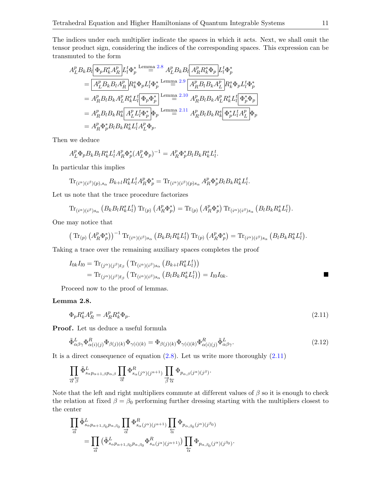The indices under each multiplier indicate the spaces in which it acts. Next, we shall omit the tensor product sign, considering the indices of the corresponding spaces. This expression can be transmuted to the form

$$
A_{L}^{p} B_{k} B_{l} \overline{\Phi_{p} R_{k}^{s} A_{R}^{p}} L_{l}^{t} \Phi_{p}^{*} \stackrel{\text{Lemma 2.8}}{=} A_{L}^{p} B_{k} B_{l} \overline{A_{R}^{p} R_{k}^{s} \Phi_{p}} L_{l}^{t} \Phi_{p}^{*}
$$
\n
$$
= \overline{A_{L}^{p} B_{k} B_{l} A_{R}^{p}} R_{k}^{s} \Phi_{p} L_{l}^{t} \Phi_{p}^{*} \stackrel{\text{Lemma 2.9}}{=} \overline{A_{R}^{p} B_{l} B_{k} A_{L}^{p}} R_{k}^{s} \Phi_{p} L_{l}^{t} \Phi_{p}^{*}
$$
\n
$$
= A_{R}^{p} B_{l} B_{k} A_{L}^{p} R_{k}^{s} L_{l}^{t} \overline{\Phi_{p} \Phi_{p}^{*}} \stackrel{\text{Lemma 2.10}}{=} A_{R}^{p} B_{l} B_{k} A_{L}^{p} R_{k}^{s} L_{l}^{t} \overline{\Phi_{p}^{*} \Phi_{p}}
$$
\n
$$
= A_{R}^{p} B_{l} B_{k} R_{k}^{s} \overline{A_{L}^{p} L_{l}^{t} \Phi_{p}^{*}} \Phi_{p}^{*} \stackrel{\text{Lemma 2.11}}{=} A_{R}^{p} B_{l} B_{k} R_{k}^{s} \overline{\Phi_{p}^{*} L_{l}^{t} A_{L}^{p}} \Phi_{p}
$$
\n
$$
= A_{R}^{p} \Phi_{p}^{*} B_{l} B_{k} R_{k}^{s} L_{l}^{t} A_{L}^{p} \Phi_{p}^{*}.
$$

Then we deduce

$$
A_L^p \Phi_p B_k B_l R_k^s L_l^t A_R^p \Phi_p^* (A_L^p \Phi_p)^{-1} = A_R^p \Phi_p^* B_l B_k R_k^s L_l^t.
$$

In particular this implies

$$
\operatorname{Tr}_{(i^{\alpha})(i^{\beta})(p),s_{\alpha}} B_{k+l} R_k^s L_l^t A_R^p \Phi_p^* = \operatorname{Tr}_{(i^{\alpha})(i^{\beta})(p)s_{\alpha}} A_R^p \Phi_p^* B_l B_k R_k^s L_l^t.
$$

Let us note that the trace procedure factorizes

$$
\operatorname{Tr}_{(i^{\alpha})(i^{\beta})s_{\alpha}}\left(B_{k}B_{l}R_{k}^{s}L_{l}^{t}\right)\operatorname{Tr}_{(p)}\left(A_{R}^{p}\Phi_{p}^{*}\right)=\operatorname{Tr}_{(p)}\left(A_{R}^{p}\Phi_{p}^{*}\right)\operatorname{Tr}_{(i^{\alpha})(i^{\beta})s_{\alpha}}\left(B_{l}B_{k}R_{k}^{s}L_{l}^{t}\right).
$$

One may notice that

$$
\left(\mathrm{Tr}_{(p)}\left(A_R^p\Phi_p^*\right)\right)^{-1}\mathrm{Tr}_{(i^{\alpha})(i^{\beta})s_{\alpha}}\left(B_kB_lR_k^sL_l^t\right)\mathrm{Tr}_{(p)}\left(A_R^p\Phi_p^*\right)=\mathrm{Tr}_{(i^{\alpha})(i^{\beta})s_{\alpha}}\left(B_lB_kR_k^sL_l^t\right).
$$

Taking a trace over the remaining auxiliary spaces completes the proof

$$
I_{0k}I_{l0} = \text{Tr}_{(j^{\alpha})(j^{\beta})t_{\beta}} (\text{Tr}_{(i^{\alpha})(i^{\beta})s_{\alpha}} (B_{k+l}R_{k}^{s}L_{l}^{t}))
$$
  
= 
$$
\text{Tr}_{(j^{\alpha})(j^{\beta})t_{\beta}} (\text{Tr}_{(i^{\alpha})(i^{\beta})s_{\alpha}} (B_{l}B_{k}R_{k}^{s}L_{l}^{t})) = I_{l0}I_{0k}.
$$

Proceed now to the proof of lemmas.

<span id="page-10-0"></span>Lemma 2.8.

<span id="page-10-1"></span>
$$
\Phi_p R_k^s A_R^p = A_R^p R_k^s \Phi_p. \tag{2.11}
$$

Proof. Let us deduce a useful formula

<span id="page-10-2"></span>
$$
\tilde{\Phi}^{L}_{\alpha\beta\gamma}\Phi^{R}_{\alpha(i)(j)}\Phi_{\beta(j)(k)}\Phi_{\gamma(i)(k)} = \Phi_{\beta(j)(k)}\Phi_{\gamma(i)(k)}\Phi^{R}_{\alpha(i)(j)}\tilde{\Phi}^{L}_{\alpha\beta\gamma}.
$$
\n(2.12)

It is a direct consequence of equation  $(2.8)$ . Let us write more thoroughly  $(2.11)$ 

$$
\prod_{\overrightarrow{\alpha}\overrightarrow{\beta}}\tilde{\Phi}^{L}_{s_{\alpha}p_{\alpha+1,\beta}p_{\alpha,\beta}}\prod_{\overrightarrow{\alpha}}\Phi^{R}_{s_{\alpha}(j^{\alpha})(j^{\alpha+1})}\prod_{\overrightarrow{\beta}\overleftarrow{\alpha}}\Phi_{p_{\alpha,\beta}(j^{\alpha})(j^{\beta})}.
$$

Note that the left and right multipliers commute at different values of  $\beta$  so it is enough to check the relation at fixed  $\beta = \beta_0$  performing further dressing starting with the multipliers closest to the center

$$
\begin{split} \prod_{\overrightarrow{\alpha}}\tilde{\Phi}^L_{s_{\alpha}p_{\alpha+1,\beta_0}p_{\alpha,\beta_0}}&\prod_{\overrightarrow{\alpha}}\Phi^R_{s_{\alpha}(j^{\alpha})(j^{\alpha+1})}\prod_{\overleftarrow{\alpha}}\Phi_{p_{\alpha,\beta_0}(j^{\alpha})(j^{\beta_0})}\\ &=\prod_{\overrightarrow{\alpha}}\big(\tilde{\Phi}^L_{s_{\alpha}p_{\alpha+1,\beta_0}p_{\alpha,\beta_0}}\Phi^R_{s_{\alpha}(j^{\alpha})(j^{\alpha+1})}\big)\prod_{\overleftarrow{\alpha}}\Phi_{p_{\alpha,\beta_0}(j^{\alpha})(j^{\beta_0})}. \end{split}
$$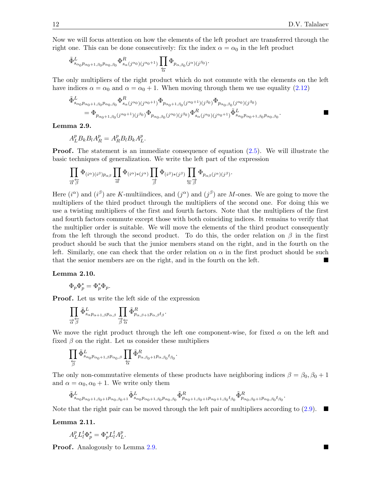Now we will focus attention on how the elements of the left product are transferred through the right one. This can be done consecutively: fix the index  $\alpha = \alpha_0$  in the left product

$$
\tilde{\Phi}^L_{s_{\alpha_0}p_{\alpha_0+1,\beta_0}p_{\alpha_0,\beta_0}} \Phi^R_{s_{\alpha}(j^{\alpha_0})(j^{\alpha_0+1})} \prod_{\overleftarrow{\alpha}} \Phi_{p_{\alpha,\beta_0}(j^{\alpha})(j^{\beta_0})}.
$$

The only multipliers of the right product which do not commute with the elements on the left have indices  $\alpha = \alpha_0$  and  $\alpha = \alpha_0 + 1$ . When moving through them we use equality [\(2.12\)](#page-10-2)

$$
\tilde{\Phi}_{s_{\alpha_0}p_{\alpha_0+1,\beta_0}p_{\alpha_0,\beta_0}}^{L} \Phi_{s_{\alpha}(j^{\alpha_0})(j^{\alpha_0+1})}^{R} \Phi_{p_{\alpha_0+1,\beta_0}(j^{\alpha_0+1})(j^{\beta_0})} \Phi_{p_{\alpha_0,\beta_0}(j^{\alpha_0})(j^{\beta_0})}
$$
\n
$$
= \Phi_{p_{\alpha_0+1,\beta_0}(j^{\alpha_0+1})(j^{\beta_0})} \Phi_{p_{\alpha_0,\beta_0}(j^{\alpha_0})(j^{\beta_0})}^{R} \Phi_{s_{\alpha}(j^{\alpha_0})(j^{\alpha_0+1})}^{L} \tilde{\Phi}_{s_{\alpha_0}p_{\alpha_0+1,\beta_0}p_{\alpha_0,\beta_0}}^{L}.
$$

<span id="page-11-0"></span>Lemma 2.9.

$$
A_L^p B_k B_l A_R^p = A_R^p B_l B_k A_L^p.
$$

**Proof.** The statement is an immediate consequence of equation  $(2.5)$ . We will illustrate the basic techniques of generalization. We write the left part of the expression

$$
\prod_{\overrightarrow{\alpha}\overrightarrow{\beta}}\Phi_{(i^{\alpha})(i^{\beta})p_{\alpha\beta}}\prod_{\overrightarrow{\alpha}}\Phi_{(i^{\alpha})\ast(j^{\alpha})}\prod_{\overrightarrow{\beta}}\Phi_{(i^{\beta})\ast(j^{\beta})}\prod_{\overleftarrow{\alpha}\overrightarrow{\beta}}\Phi_{p_{\alpha\beta}(j^{\alpha})(j^{\beta})}.
$$

Here  $(i^{\alpha})$  and  $(i^{\beta})$  are K-multiindices, and  $(j^{\alpha})$  and  $(j^{\beta})$  are M-ones. We are going to move the multipliers of the third product through the multipliers of the second one. For doing this we use a twisting multipliers of the first and fourth factors. Note that the multipliers of the first and fourth factors commute except those with both coinciding indices. It remains to verify that the multiplier order is suitable. We will move the elements of the third product consequently from the left through the second product. To do this, the order relation on  $\beta$  in the first product should be such that the junior members stand on the right, and in the fourth on the left. Similarly, one can check that the order relation on  $\alpha$  in the first product should be such that the senior members are on the right, and in the fourth on the left.

#### <span id="page-11-1"></span>Lemma 2.10.

$$
\Phi_p \Phi_p^* = \Phi_p^* \Phi_p.
$$

**Proof.** Let us write the left side of the expression

$$
\prod_{\overrightarrow{\alpha}\, \overleftarrow{\beta}} \tilde{\Phi}^L_{s_\alpha p_{\alpha+1,\beta} p_{\alpha,\beta}} \prod_{\overrightarrow{\beta}\, \overleftarrow{\alpha}} \tilde{\Phi}^R_{p_{\alpha,\beta+1} p_{\alpha,\beta} t_\beta}.
$$

We move the right product through the left one component-wise, for fixed  $\alpha$  on the left and fixed  $\beta$  on the right. Let us consider these multipliers

$$
\prod_{\overleftarrow{\beta}}\tilde{\Phi}^L_{s_{\alpha_0}p_{\alpha_0+1,\beta}p_{\alpha_0,\beta}}\prod_{\overleftarrow{\alpha}}\tilde{\Phi}^R_{p_{\alpha,\beta_0+1}p_{\alpha,\beta_0}t_{\beta_0}}.
$$

The only non-commutative elements of these products have neighboring indices  $\beta = \beta_0, \beta_0 + 1$ and  $\alpha = \alpha_0, \alpha_0 + 1$ . We write only them

.

$$
\tilde{\Phi}^L_{s_{\alpha_0}p_{\alpha_0+1,\beta_0+1}p_{\alpha_0,\beta_0+1}}\tilde{\Phi}^L_{s_{\alpha_0}p_{\alpha_0+1,\beta_0}p_{\alpha_0,\beta_0}}\tilde{\Phi}^R_{p_{\alpha_0+1,\beta_0+1}p_{\alpha_0+1,\beta_0}t_{\beta_0}}\tilde{\Phi}^R_{p_{\alpha_0,\beta_0+1}p_{\alpha_0,\beta_0}t_{\beta_0}}
$$

Note that the right pair can be moved through the left pair of multipliers according to  $(2.9)$ .

<span id="page-11-2"></span>Lemma 2.11.

$$
A_L^p L_l^t \Phi_p^* = \Phi_p^* L_l^t A_L^p.
$$

**Proof.** Analogously to Lemma [2.9.](#page-11-0)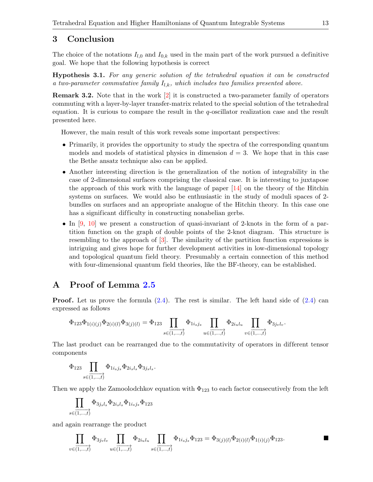# 3 Conclusion

The choice of the notations  $I_{l,0}$  and  $I_{0,k}$  used in the main part of the work pursued a definitive goal. We hope that the following hypothesis is correct

Hypothesis 3.1. For any generic solution of the tetrahedral equation it can be constructed a two-parameter commutative family  $I_{l,k}$ , which includes two families presented above.

Remark 3.2. Note that in the work [\[2\]](#page-13-11) it is constructed a two-parameter family of operators commuting with a layer-by-layer transfer-matrix related to the special solution of the tetrahedral equation. It is curious to compare the result in the q-oscillator realization case and the result presented here.

However, the main result of this work reveals some important perspectives:

- Primarily, it provides the opportunity to study the spectra of the corresponding quantum models and models of statistical physics in dimension  $d = 3$ . We hope that in this case the Bethe ansatz technique also can be applied.
- Another interesting direction is the generalization of the notion of integrability in the case of 2-dimensional surfaces comprising the classical case. It is interesting to juxtapose the approach of this work with the language of paper  $[14]$  on the theory of the Hitchin systems on surfaces. We would also be enthusiastic in the study of moduli spaces of 2 bundles on surfaces and an appropriate analogue of the Hitchin theory. In this case one has a significant difficulty in constructing nonabelian gerbs.
- In [\[9,](#page-13-4) [10\]](#page-13-5) we present a construction of quasi-invariant of 2-knots in the form of a partition function on the graph of double points of the 2-knot diagram. This structure is resembling to the approach of [\[3\]](#page-13-13). The similarity of the partition function expressions is intriguing and gives hope for further development activities in low-dimensional topology and topological quantum field theory. Presumably a certain connection of this method with four-dimensional quantum field theories, like the BF-theory, can be established.

# <span id="page-12-0"></span>A Proof of Lemma [2.5](#page-8-5)

**Proof.** Let us prove the formula  $(2.4)$ . The rest is similar. The left hand side of  $(2.4)$  can expressed as follows

$$
\Phi_{123}\Phi_{1(i)(j)}\Phi_{2(i)(l)}\Phi_{3(j)(l)} = \Phi_{123}\prod_{s\in\overline{(1,\ldots,t)}}\Phi_{1i_sj_s}\prod_{u\in\overline{(1,\ldots,t)}}\Phi_{2i_ul_u}\prod_{v\in\overline{(1,\ldots,t)}}\Phi_{3j_vl_v}.
$$

The last product can be rearranged due to the commutativity of operators in different tensor components

$$
\Phi_{123} \prod_{s\in \overline{(1,\ldots,t)}} \Phi_{1i_sj_s}\Phi_{2i_sl_s}\Phi_{3jsl_s}.
$$

Then we apply the Zamoolodchkov equation with  $\Phi_{123}$  to each factor consecutively from the left

$$
\prod_{s\in\overline{(1,\ldots,t)}}\Phi_{3j_sl_s}\Phi_{2i_sl_s}\Phi_{1i_sj_s}\Phi_{123}
$$

and again rearrange the product

$$
\prod_{v \in (1,\ldots,t)} \Phi_{3j_v l_v} \prod_{u \in (1,\ldots,t)} \Phi_{2i_u l_u} \prod_{s \in (1,\ldots,t)} \Phi_{1i_s j_s} \Phi_{123} = \Phi_{3(j)(l)} \Phi_{2(i)(l)} \Phi_{1(i)(j)} \Phi_{123}.
$$